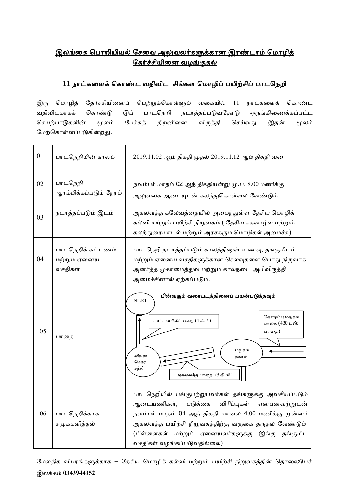## <u>இலங்கை பொறியியல் சேவை அலுவலர்களுக்கான இரண்டாம் மொழித்</u> <u>தேர்ச்சியினை வழங்குதல்</u>

## <u>11 நாட்களைக் கொண்ட வதிவிட சிங்கள மொழிப் பயிற்சிப் பாடநெறி</u>

இரு மொழித் தேர்ச்சியினைப் பெற்றுக்கொள்ளும் வகையில் 11 நாட்களைக் கொண்ட வதிவிடமாகக் கொண்டு இப் பாடநெறி நடாத்தப்படுவதோடு ஒருங்கிணைக்கப்பட்ட செயற்பாடுகளின் மூலம் பேச்சுத் திறனினை விருத்தி செய்வது இதன் மூலம் மேற்கொள்ளப்படுகின்றது.

| 01 | பாடநெறியின் காலம்                            | 2019.11.02 ஆம் திகதி முதல் 2019.11.12 ஆம் திகதி வரை                                                                                                                                                                                                                                                            |  |  |  |  |
|----|----------------------------------------------|----------------------------------------------------------------------------------------------------------------------------------------------------------------------------------------------------------------------------------------------------------------------------------------------------------------|--|--|--|--|
| 02 | பாடநெறி<br>ஆரம்பிக்கப்படும் நேரம்            | நவம்பர் மாதம் 02 ஆந் திகதியன்று மு.ப. 8.00 மணிக்கு<br>அலுவலக ஆடையுடன் கலந்துகொள்ளல் வேண்டும்.                                                                                                                                                                                                                  |  |  |  |  |
| 03 | நடாத்தப்படும் இடம்                           | அகலவத்த கலேவத்தையில் அமைந்துள்ள தேசிய மொழிக்<br>கல்வி மற்றும் பயிற்சி நிறுவகம் ( தேசிய சகவாழ்வு மற்றும்<br>கலந்துரையாடல் மற்றும் அரசகரும மொழிகள் அமைச்சு)                                                                                                                                                      |  |  |  |  |
| 04 | பாடநெறிக் கட்டணம்<br>மற்றும் ஏனைய<br>வசதிகள் | பாடநெறி நடாத்தப்படும் காலத்தினுள் உணவு, தங்குமிடம்<br>மற்றும் ஏனைய வசதிகளுக்கான செலவுகளை பொது நிருவாக,<br>அனர்த்த முகாமைத்துவ மற்றும் கால்நடை அபிவிருத்தி<br>அமைச்சினால் ஏற்கப்படும்.                                                                                                                          |  |  |  |  |
| 05 | பாதை                                         | பின்வரும் வரைபடத்தினைப் பயன்படுத்தவும்<br><b>NILET</b><br>கொழும்பு மதுகம<br>டார்டன்பீல்ட் பதை (4 கி.மி)<br>பாதை (430 பஸ்<br>பாதை)<br>மதுகம<br>லியன<br>நகரம்<br>கெதர<br>சந்தி<br>அகலவத்த பாதை (5 கி.மி.)                                                                                                        |  |  |  |  |
| 06 | பாடநெறிக்காக<br>சமூகமளித்தல்                 | பாடநெறியில் பங்குபற்றுபவர்கள் தங்களுக்கு அவசியப்படும்<br>விரிப்புகள் என்பனவற்றுடன்<br>ஆடையணிகள்,<br>படுக்கை<br>நவம்பர் மாதம் 01 ஆந் திகதி மாலை 4.00 மணிக்கு முன்னர்<br>அகலவத்த பயிற்சி நிறுவகத்திற்கு வருகை தருதல் வேண்டும்.<br>(பிள்ளைகள் மற்றும் ஏனையவர்களுக்கு இங்கு தங்குமிட<br>வசதிகள் வழங்கப்படுவதில்லை) |  |  |  |  |

மேலதிக விபரங்களுக்காக – தேசிய மொழிக் கல்வி மற்றும் பயிற்சி நிறுவகத்தின் தொலைபேசி இலக்ைம் **0343944352**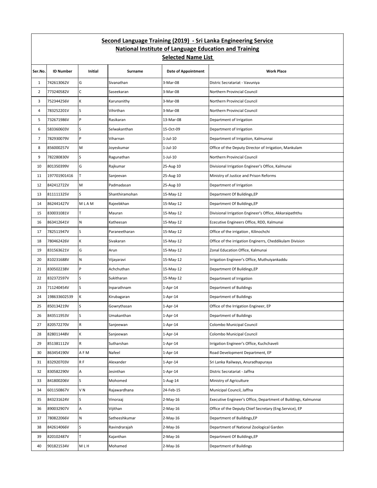## **Second Language Training (2019) - Sri Lanka Engineering Service National Institute of Language Education and Training Selected Name List**

| Ser.No.        | <b>ID Number</b> | Initial      | Surname        | <b>Date of Appointment</b> | <b>Work Place</b>                                               |
|----------------|------------------|--------------|----------------|----------------------------|-----------------------------------------------------------------|
| $\mathbf{1}$   | 742613062V       | G            | Sivanathan     | 3-Mar-08                   | Distric Secratariat - Vavuniya                                  |
| $\overline{2}$ | 773240582V       | C            | Saseekaran     | 3-Mar-08                   | Northern Provincial Council                                     |
| 3              | 752344256V       | K            | Karunanithy    | 3-Mar-08                   | Northern Provincial Council                                     |
| 4              | 783252201V       | S            | Vihirthan      | 3-Mar-08                   | Northern Provincial Council                                     |
| 5              | 732671986V       | P            | Rasikaran      | 13-Mar-08                  | Department of Irrigation                                        |
| 6              | 583360603V       | S            | Selwakanthan   | 15-Oct-09                  | Department of Irrigation                                        |
| $\overline{7}$ | 782930079V       | P            | Viharnan       | $1$ -Jul- $10$             | Department of Irrigation, Kalmunnai                             |
| 8              | 856000257V       | M            | Joyeskumar     | $1$ -Jul- $10$             | Office of the Deputy Director of Irrigation, Mankulam           |
| 9              | 782280830V       | S            | Ragunathan     | $1$ -Jul- $10$             | Northern Provincial Council                                     |
| 10             | 801350399V       | G            | Rajkumar       | 25-Aug-10                  | Divisional Irrigation Engineer's Office, Kalmunai               |
| 11             | 197701901416     | T            | Sanjeevan      | 25-Aug-10                  | Ministry of Justice and Prison Reforms                          |
| 12             | 842412722V       | M            | Padmadasan     | 25-Aug-10                  | Department of Irrigation                                        |
| 13             | 811111325V       | ls.          | Shanthiramohan | 15-May-12                  | Department Of Buildings, EP                                     |
| 14             | 862441427V       | MLAM         | Rajeebkhan     | 15-May-12                  | Department Of Buildings, EP                                     |
| 15             | 830031081V       | T            | Mauran         | 15-May-12                  | Divisional Irrigation Engineer's Office, Akkaraipaththu         |
| 16             | 863412641V       | N            | Katheesan      | 15-May-12                  | Ececutive Engineers Office, RDD, Kalmunai                       |
| 17             | 782511947V       | S            | Paraneetharan  | 15-May-12                  | Office of the irrigation, Kilinochchi                           |
| 18             | 780462426V       | K            | Sivakaran      | 15-May-12                  | Office of the irrigation Enginerrs, Cheddikulam Division        |
| 19             | 831563621V       | G            | Arun           | 15-May-12                  | Zonal Education Office, Kalmunai                                |
| 20             | 810231688V       | $\mathsf{N}$ | Vijayaravi     | 15-May-12                  | Irrigation Engineer's Office, Muthuiyankaddu                    |
| 21             | 830502238V       | P            | Achchuthan     | 15-May-12                  | Department Of Buildings, EP                                     |
| 22             | 832372597V       | S            | Sukitharan     | 15-May-12                  | Department of Irrigation                                        |
| 23             | 711240454V       | <sub>S</sub> | Inparathnam    | $1-Apr-14$                 | Department of Buildings                                         |
| 24             | 198633602539     | К            | Kirubagaran    | $1-Apr-14$                 | Department of Buildings                                         |
| 25             | 850134219V       | <sub>S</sub> | Gowrythasan    | $1-Apr-14$                 | Office of the Irrigation Engineer, EP                           |
| 26             | 843511953V       | S            | Umakanthan     | $1-Apr-14$                 | Department of Buildings                                         |
| 27             | 820572270V       | R            | Sanjeewan      | $1-Apr-14$                 | Colombo Municipal Council                                       |
| 28             | 828011448V       | К            | Sanjeewan      | $1-Apr-14$                 | Colombo Municipal Council                                       |
| 29             | 851381112V       | $\mathsf R$  | Sutharshan     | $1-Apr-14$                 | Irrigation Engineer's Office, Kuchchaveli                       |
| 30             | 863454190V       | A F M        | Nafeel         | $1-Apr-14$                 | Road Development Department, EP                                 |
| 31             | 832920703V       | R F          | Alexander      | $1-Apr-14$                 | Sri Lanka Railways, Anuradhapuraya                              |
| 32             | 830582290V       | A            | Jesinthan      | $1-Apr-14$                 | Distric Secratariat - Jaffna                                    |
| 33             | 841800206V       | S            | Mohomed        | 1-Aug-14                   | Ministry of Agriculture                                         |
| 34             | 601150867V       | VN           | Rajawardhana   | 24-Feb-15                  | Municipal Council, Jaffna                                       |
| 35             | 843231624V       | s            | Vinoraaj       | $2-May-16$                 | Executive Engineer's Office, Department of Buildings, Kalmunnai |
| 36             | 890032907V       | A            | Vijithan       | $2-May-16$                 | Office of the Deputy Chief Secretary (Eng.Service), EP          |
| 37             | 780822066V       | N            | Satheeshkumar  | $2-May-16$                 | Department of Buildings, EP                                     |
| 38             | 842614066V       | S            | Ravindrarajah  | 2-May-16                   | Department of National Zoological Garden                        |
| 39             | 820102487V       | T            | Kajanthan      | 2-May-16                   | Department Of Buildings, EP                                     |
| 40             | 901821534V       | MLH          | Mohamed        | 2-May-16                   | Department of Buildings                                         |